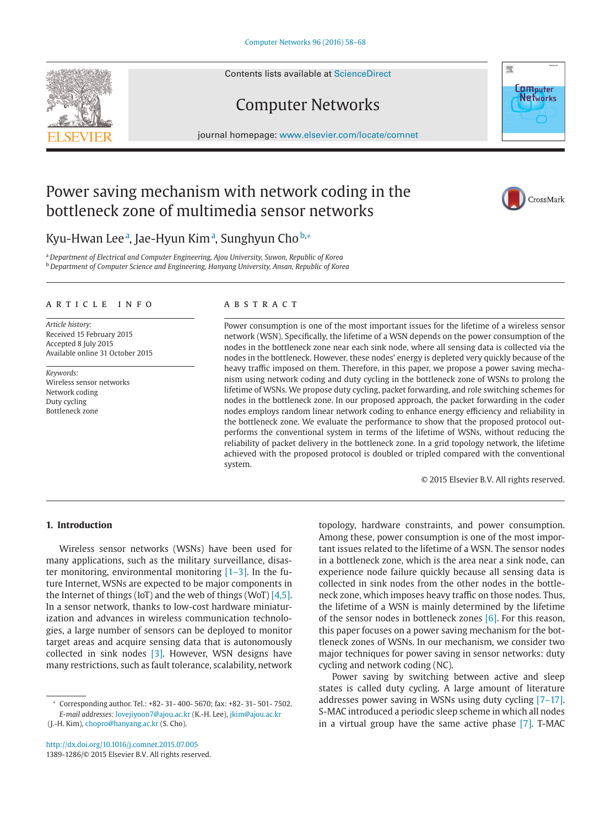Contents lists available at [ScienceDirect](http://www.ScienceDirect.com)

# Computer Networks

journal homepage: [www.elsevier.com/locate/comnet](http://www.elsevier.com/locate/comnet)



## Power saving mechanism with network coding in the bottleneck zone of multimedia sensor networks



### Kyu-Hwan Lee<sup>a</sup>, Jae-Hyun Kim<u>a, Sunghyun Chob,\*</u>

<sup>a</sup> *Department of Electrical and Computer Engineering, Ajou University, Suwon, Republic of Korea* <sup>b</sup> *Department of Computer Science and Engineering, Hanyang University, Ansan, Republic of Korea*

#### article info

*Article history:* Received 15 February 2015 Accepted 8 July 2015 Available online 31 October 2015

*Keywords:* Wireless sensor networks Network coding Duty cycling Bottleneck zone

### **ARSTRACT**

Power consumption is one of the most important issues for the lifetime of a wireless sensor network (WSN). Specifically, the lifetime of a WSN depends on the power consumption of the nodes in the bottleneck zone near each sink node, where all sensing data is collected via the nodes in the bottleneck. However, these nodes' energy is depleted very quickly because of the heavy traffic imposed on them. Therefore, in this paper, we propose a power saving mechanism using network coding and duty cycling in the bottleneck zone of WSNs to prolong the lifetime of WSNs. We propose duty cycling, packet forwarding, and role switching schemes for nodes in the bottleneck zone. In our proposed approach, the packet forwarding in the coder nodes employs random linear network coding to enhance energy efficiency and reliability in the bottleneck zone. We evaluate the performance to show that the proposed protocol outperforms the conventional system in terms of the lifetime of WSNs, without reducing the reliability of packet delivery in the bottleneck zone. In a grid topology network, the lifetime achieved with the proposed protocol is doubled or tripled compared with the conventional system.

© 2015 Elsevier B.V. All rights reserved.

### **1. Introduction**

Wireless sensor networks (WSNs) have been used for many applications, such as the military surveillance, disaster monitoring, environmental monitoring  $[1-3]$ . In the future Internet, WSNs are expected to be major components in the Internet of things (IoT) and the web of things (WoT) [\[4,5\].](#page--1-0) In a sensor network, thanks to low-cost hardware miniaturization and advances in wireless communication technologies, a large number of sensors can be deployed to monitor target areas and acquire sensing data that is autonomously collected in sink nodes [\[3\].](#page--1-0) However, WSN designs have many restrictions, such as fault tolerance, scalability, network

<http://dx.doi.org/10.1016/j.comnet.2015.07.005> 1389-1286/© 2015 Elsevier B.V. All rights reserved. topology, hardware constraints, and power consumption. Among these, power consumption is one of the most important issues related to the lifetime of a WSN. The sensor nodes in a bottleneck zone, which is the area near a sink node, can experience node failure quickly because all sensing data is collected in sink nodes from the other nodes in the bottleneck zone, which imposes heavy traffic on those nodes. Thus, the lifetime of a WSN is mainly determined by the lifetime of the sensor nodes in bottleneck zones [\[6\].](#page--1-0) For this reason, this paper focuses on a power saving mechanism for the bottleneck zones of WSNs. In our mechanism, we consider two major techniques for power saving in sensor networks: duty cycling and network coding (NC).

Power saving by switching between active and sleep states is called duty cycling. A large amount of literature addresses power saving in WSNs using duty cycling [\[7–17\].](#page--1-0) S-MAC introduced a periodic sleep scheme in which all nodes in a virtual group have the same active phase [\[7\].](#page--1-0) T-MAC

<sup>∗</sup> Corresponding author. Tel.: +82- 31- 400- 5670; fax: +82- 31- 501- 7502. *E-mail addresses:* [lovejiyoon7@ajou.ac.kr](mailto:lovejiyoon7@ajou.ac.kr) (K.-H. Lee), jkim@ajou.ac.kr

<sup>(</sup>J.-H. Kim), [chopro@hanyang.ac.kr](mailto:chopro@hanyang.ac.kr) (S. Cho).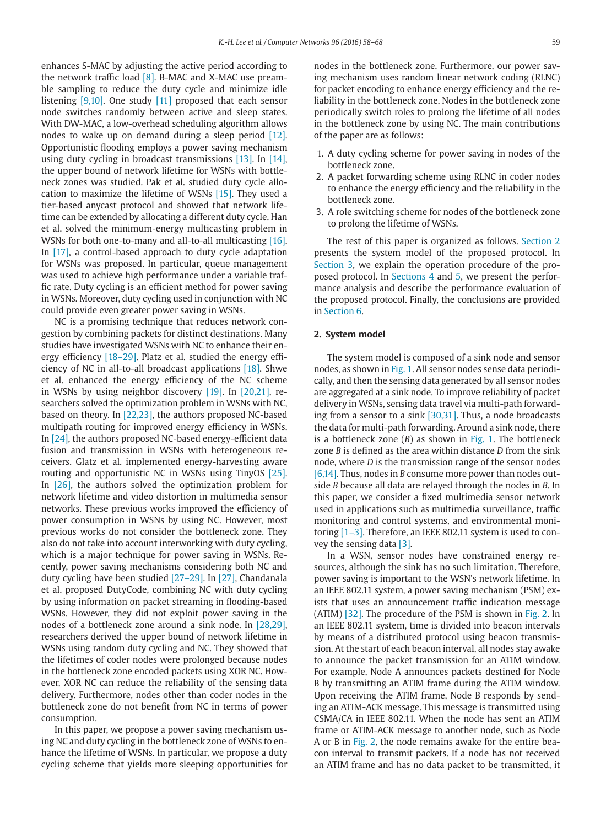enhances S-MAC by adjusting the active period according to the network traffic load [\[8\].](#page--1-0) B-MAC and X-MAC use preamble sampling to reduce the duty cycle and minimize idle listening [\[9,10\].](#page--1-0) One study [\[11\]](#page--1-0) proposed that each sensor node switches randomly between active and sleep states. With DW-MAC, a low-overhead scheduling algorithm allows nodes to wake up on demand during a sleep period [\[12\].](#page--1-0) Opportunistic flooding employs a power saving mechanism using duty cycling in broadcast transmissions [\[13\].](#page--1-0) In [\[14\],](#page--1-0) the upper bound of network lifetime for WSNs with bottleneck zones was studied. Pak et al. studied duty cycle allocation to maximize the lifetime of WSNs [\[15\].](#page--1-0) They used a tier-based anycast protocol and showed that network lifetime can be extended by allocating a different duty cycle. Han et al. solved the minimum-energy multicasting problem in WSNs for both one-to-many and all-to-all multicasting [\[16\].](#page--1-0) In [\[17\],](#page--1-0) a control-based approach to duty cycle adaptation for WSNs was proposed. In particular, queue management was used to achieve high performance under a variable traffic rate. Duty cycling is an efficient method for power saving in WSNs. Moreover, duty cycling used in conjunction with NC could provide even greater power saving in WSNs.

NC is a promising technique that reduces network congestion by combining packets for distinct destinations. Many studies have investigated WSNs with NC to enhance their energy efficiency [\[18–29\].](#page--1-0) Platz et al. studied the energy efficiency of NC in all-to-all broadcast applications [\[18\].](#page--1-0) Shwe et al. enhanced the energy efficiency of the NC scheme in WSNs by using neighbor discovery [\[19\].](#page--1-0) In [\[20,21\],](#page--1-0) researchers solved the optimization problem in WSNs with NC, based on theory. In [\[22,23\],](#page--1-0) the authors proposed NC-based multipath routing for improved energy efficiency in WSNs. In [\[24\],](#page--1-0) the authors proposed NC-based energy-efficient data fusion and transmission in WSNs with heterogeneous receivers. Glatz et al. implemented energy-harvesting aware routing and opportunistic NC in WSNs using TinyOS [\[25\].](#page--1-0) In [\[26\],](#page--1-0) the authors solved the optimization problem for network lifetime and video distortion in multimedia sensor networks. These previous works improved the efficiency of power consumption in WSNs by using NC. However, most previous works do not consider the bottleneck zone. They also do not take into account interworking with duty cycling, which is a major technique for power saving in WSNs. Recently, power saving mechanisms considering both NC and duty cycling have been studied [\[27–29\].](#page--1-0) In [\[27\],](#page--1-0) Chandanala et al. proposed DutyCode, combining NC with duty cycling by using information on packet streaming in flooding-based WSNs. However, they did not exploit power saving in the nodes of a bottleneck zone around a sink node. In [\[28,29\],](#page--1-0) researchers derived the upper bound of network lifetime in WSNs using random duty cycling and NC. They showed that the lifetimes of coder nodes were prolonged because nodes in the bottleneck zone encoded packets using XOR NC. However, XOR NC can reduce the reliability of the sensing data delivery. Furthermore, nodes other than coder nodes in the bottleneck zone do not benefit from NC in terms of power consumption.

In this paper, we propose a power saving mechanism using NC and duty cycling in the bottleneck zone of WSNs to enhance the lifetime of WSNs. In particular, we propose a duty cycling scheme that yields more sleeping opportunities for nodes in the bottleneck zone. Furthermore, our power saving mechanism uses random linear network coding (RLNC) for packet encoding to enhance energy efficiency and the reliability in the bottleneck zone. Nodes in the bottleneck zone periodically switch roles to prolong the lifetime of all nodes in the bottleneck zone by using NC. The main contributions of the paper are as follows:

- 1. A duty cycling scheme for power saving in nodes of the bottleneck zone.
- 2. A packet forwarding scheme using RLNC in coder nodes to enhance the energy efficiency and the reliability in the bottleneck zone.
- 3. A role switching scheme for nodes of the bottleneck zone to prolong the lifetime of WSNs.

The rest of this paper is organized as follows. Section 2 presents the system model of the proposed protocol. In [Section 3,](#page--1-0) we explain the operation procedure of the proposed protocol. In [Sections 4](#page--1-0) and [5,](#page--1-0) we present the performance analysis and describe the performance evaluation of the proposed protocol. Finally, the conclusions are provided in [Section 6.](#page--1-0)

#### **2. System model**

The system model is composed of a sink node and sensor nodes, as shown in [Fig. 1.](#page--1-0) All sensor nodes sense data periodically, and then the sensing data generated by all sensor nodes are aggregated at a sink node. To improve reliability of packet delivery in WSNs, sensing data travel via multi-path forwarding from a sensor to a sink [\[30,31\].](#page--1-0) Thus, a node broadcasts the data for multi-path forwarding. Around a sink node, there is a bottleneck zone (*B*) as shown in [Fig. 1.](#page--1-0) The bottleneck zone *B* is defined as the area within distance *D* from the sink node, where *D* is the transmission range of the sensor nodes [\[6,14\].](#page--1-0) Thus, nodes in *B* consume more power than nodes outside *B* because all data are relayed through the nodes in *B*. In this paper, we consider a fixed multimedia sensor network used in applications such as multimedia surveillance, traffic monitoring and control systems, and environmental monitoring [\[1–3\].](#page--1-0) Therefore, an IEEE 802.11 system is used to convey the sensing data [\[3\].](#page--1-0)

In a WSN, sensor nodes have constrained energy resources, although the sink has no such limitation. Therefore, power saving is important to the WSN's network lifetime. In an IEEE 802.11 system, a power saving mechanism (PSM) exists that uses an announcement traffic indication message (ATIM) [\[32\].](#page--1-0) The procedure of the PSM is shown in [Fig. 2.](#page--1-0) In an IEEE 802.11 system, time is divided into beacon intervals by means of a distributed protocol using beacon transmission. At the start of each beacon interval, all nodes stay awake to announce the packet transmission for an ATIM window. For example, Node A announces packets destined for Node B by transmitting an ATIM frame during the ATIM window. Upon receiving the ATIM frame, Node B responds by sending an ATIM-ACK message. This message is transmitted using CSMA/CA in IEEE 802.11. When the node has sent an ATIM frame or ATIM-ACK message to another node, such as Node A or B in [Fig. 2,](#page--1-0) the node remains awake for the entire beacon interval to transmit packets. If a node has not received an ATIM frame and has no data packet to be transmitted, it